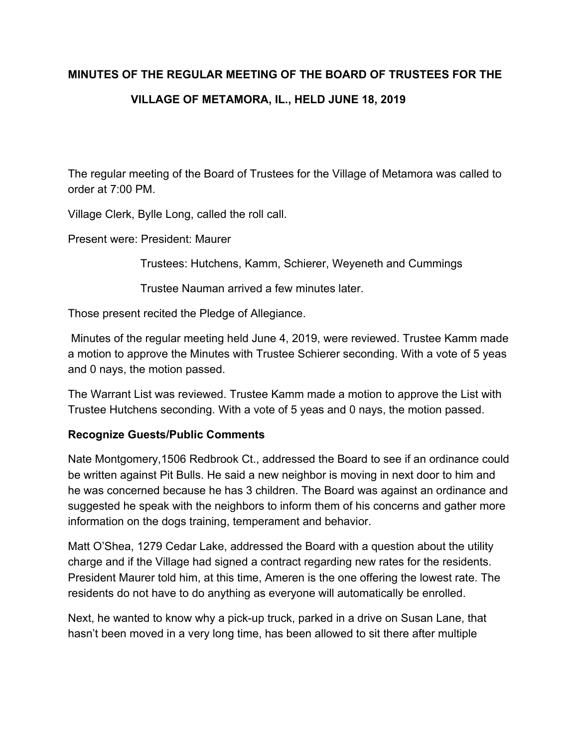# **MINUTES OF THE REGULAR MEETING OF THE BOARD OF TRUSTEES FOR THE VILLAGE OF METAMORA, IL., HELD JUNE 18, 2019**

The regular meeting of the Board of Trustees for the Village of Metamora was called to order at 7:00 PM.

Village Clerk, Bylle Long, called the roll call.

Present were: President: Maurer

Trustees: Hutchens, Kamm, Schierer, Weyeneth and Cummings

Trustee Nauman arrived a few minutes later.

Those present recited the Pledge of Allegiance.

 Minutes of the regular meeting held June 4, 2019, were reviewed. Trustee Kamm made a motion to approve the Minutes with Trustee Schierer seconding. With a vote of 5 yeas and 0 nays, the motion passed.

The Warrant List was reviewed. Trustee Kamm made a motion to approve the List with Trustee Hutchens seconding. With a vote of 5 yeas and 0 nays, the motion passed.

## **Recognize Guests/Public Comments**

Nate Montgomery,1506 Redbrook Ct., addressed the Board to see if an ordinance could be written against Pit Bulls. He said a new neighbor is moving in next door to him and he was concerned because he has 3 children. The Board was against an ordinance and suggested he speak with the neighbors to inform them of his concerns and gather more information on the dogs training, temperament and behavior.

Matt O'Shea, 1279 Cedar Lake, addressed the Board with a question about the utility charge and if the Village had signed a contract regarding new rates for the residents. President Maurer told him, at this time, Ameren is the one offering the lowest rate. The residents do not have to do anything as everyone will automatically be enrolled.

Next, he wanted to know why a pick-up truck, parked in a drive on Susan Lane, that hasn't been moved in a very long time, has been allowed to sit there after multiple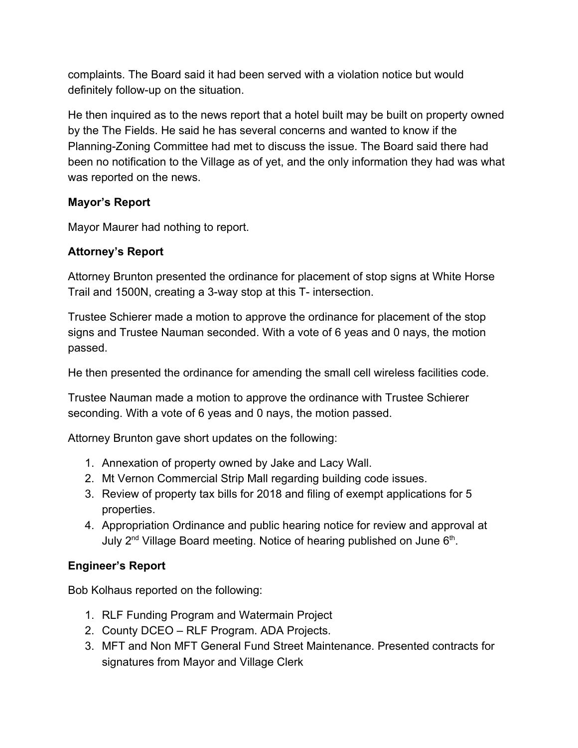complaints. The Board said it had been served with a violation notice but would definitely follow-up on the situation.

He then inquired as to the news report that a hotel built may be built on property owned by the The Fields. He said he has several concerns and wanted to know if the Planning-Zoning Committee had met to discuss the issue. The Board said there had been no notification to the Village as of yet, and the only information they had was what was reported on the news.

# **Mayor's Report**

Mayor Maurer had nothing to report.

# **Attorney's Report**

Attorney Brunton presented the ordinance for placement of stop signs at White Horse Trail and 1500N, creating a 3-way stop at this T- intersection.

Trustee Schierer made a motion to approve the ordinance for placement of the stop signs and Trustee Nauman seconded. With a vote of 6 yeas and 0 nays, the motion passed.

He then presented the ordinance for amending the small cell wireless facilities code.

Trustee Nauman made a motion to approve the ordinance with Trustee Schierer seconding. With a vote of 6 yeas and 0 nays, the motion passed.

Attorney Brunton gave short updates on the following:

- 1. Annexation of property owned by Jake and Lacy Wall.
- 2. Mt Vernon Commercial Strip Mall regarding building code issues.
- 3. Review of property tax bills for 2018 and filing of exempt applications for 5 properties.
- 4. Appropriation Ordinance and public hearing notice for review and approval at July 2<sup>nd</sup> Village Board meeting. Notice of hearing published on June 6<sup>th</sup>.

# **Engineer's Report**

Bob Kolhaus reported on the following:

- 1. RLF Funding Program and Watermain Project
- 2. County DCEO RLF Program. ADA Projects.
- 3. MFT and Non MFT General Fund Street Maintenance. Presented contracts for signatures from Mayor and Village Clerk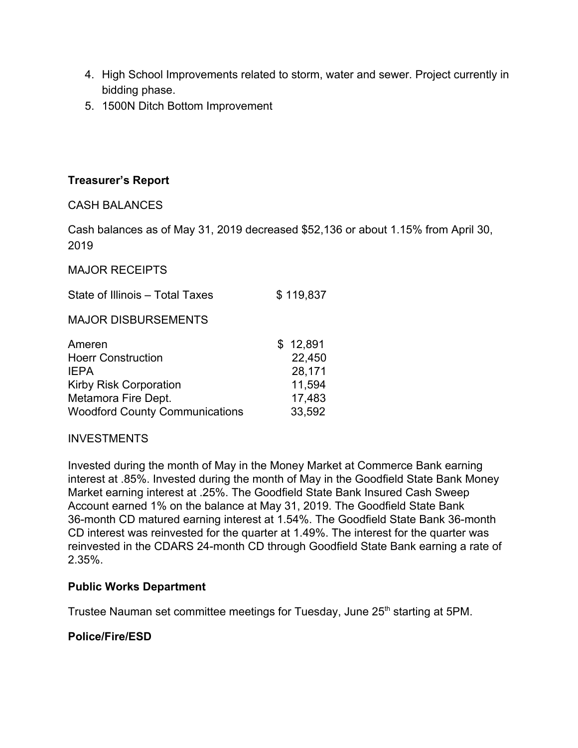- 4. High School Improvements related to storm, water and sewer. Project currently in bidding phase.
- 5. 1500N Ditch Bottom Improvement

## **Treasurer's Report**

## CASH BALANCES

Cash balances as of May 31, 2019 decreased \$52,136 or about 1.15% from April 30, 2019

#### MAJOR RECEIPTS

| State of Illinois - Total Taxes<br><b>MAJOR DISBURSEMENTS</b> | \$119,837 |
|---------------------------------------------------------------|-----------|
|                                                               |           |
| <b>Hoerr Construction</b>                                     | 22,450    |
| <b>IEPA</b>                                                   | 28,171    |
| <b>Kirby Risk Corporation</b>                                 | 11,594    |
| Metamora Fire Dept.                                           | 17,483    |
| <b>Woodford County Communications</b>                         | 33,592    |

## INVESTMENTS

Invested during the month of May in the Money Market at Commerce Bank earning interest at .85%. Invested during the month of May in the Goodfield State Bank Money Market earning interest at .25%. The Goodfield State Bank Insured Cash Sweep Account earned 1% on the balance at May 31, 2019. The Goodfield State Bank 36-month CD matured earning interest at 1.54%. The Goodfield State Bank 36-month CD interest was reinvested for the quarter at 1.49%. The interest for the quarter was reinvested in the CDARS 24-month CD through Goodfield State Bank earning a rate of 2.35%.

#### **Public Works Department**

Trustee Nauman set committee meetings for Tuesday, June 25<sup>th</sup> starting at 5PM.

## **Police/Fire/ESD**